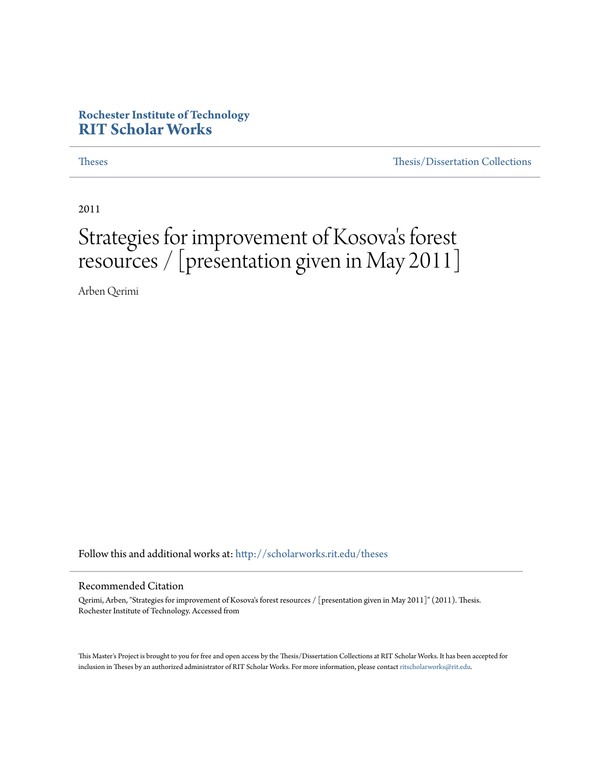#### **Rochester Institute of Technology [RIT Scholar Works](http://scholarworks.rit.edu?utm_source=scholarworks.rit.edu%2Ftheses%2F7015&utm_medium=PDF&utm_campaign=PDFCoverPages)**

[Theses](http://scholarworks.rit.edu/theses?utm_source=scholarworks.rit.edu%2Ftheses%2F7015&utm_medium=PDF&utm_campaign=PDFCoverPages) [Thesis/Dissertation Collections](http://scholarworks.rit.edu/etd_collections?utm_source=scholarworks.rit.edu%2Ftheses%2F7015&utm_medium=PDF&utm_campaign=PDFCoverPages)

2011

### Strategies for improvement of Kosova 's forest resources / [presentation given in May 2011]

Arben Qerimi

Follow this and additional works at: [http://scholarworks.rit.edu/theses](http://scholarworks.rit.edu/theses?utm_source=scholarworks.rit.edu%2Ftheses%2F7015&utm_medium=PDF&utm_campaign=PDFCoverPages)

#### Recommended Citation

Qerimi, Arben, "Strategies for improvement of Kosova's forest resources / [presentation given in May 2011]" (2011). Thesis. Rochester Institute of Technology. Accessed from

This Master's Project is brought to you for free and open access by the Thesis/Dissertation Collections at RIT Scholar Works. It has been accepted for inclusion in Theses by an authorized administrator of RIT Scholar Works. For more information, please contact [ritscholarworks@rit.edu](mailto:ritscholarworks@rit.edu).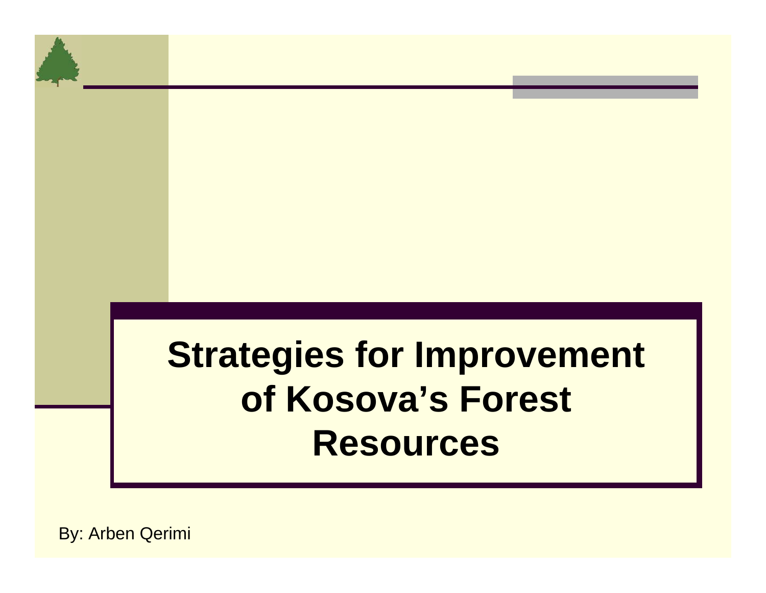# **Strategies for Improvement of Kosova's Forest Resources**

By: Arben Qerimi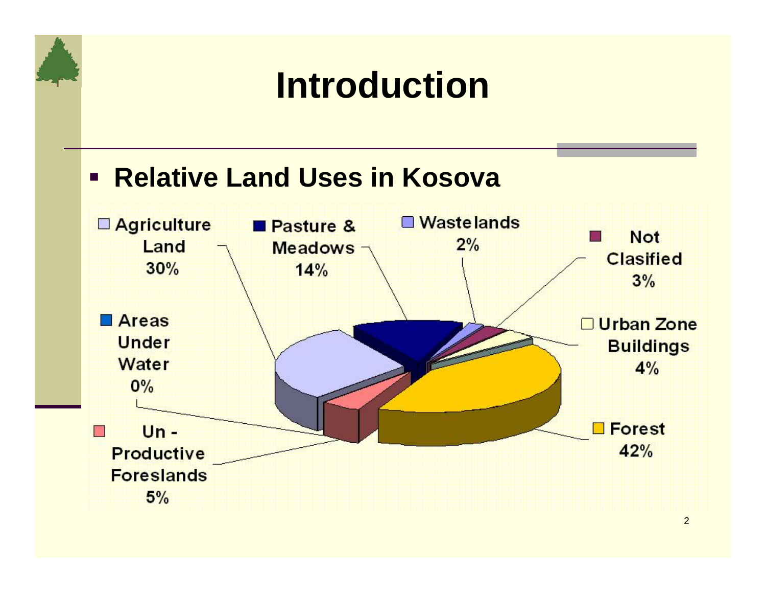# **Introduction**

### **Relative Land Uses in Kosova**

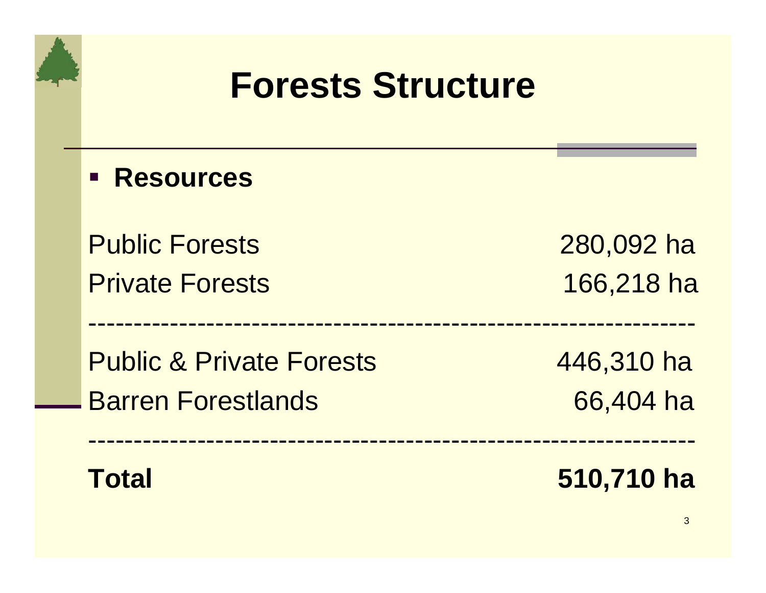## **Forests Structure**

-------------------------------------------------------------------

-------------------------------------------------------------------

**Resources**

Public Forests 280,092 ha

Public & Private Forests 446,310 ha Barren Forestlands 66,404 ha

Private Forests 166,218 has



**Total 510,710 ha**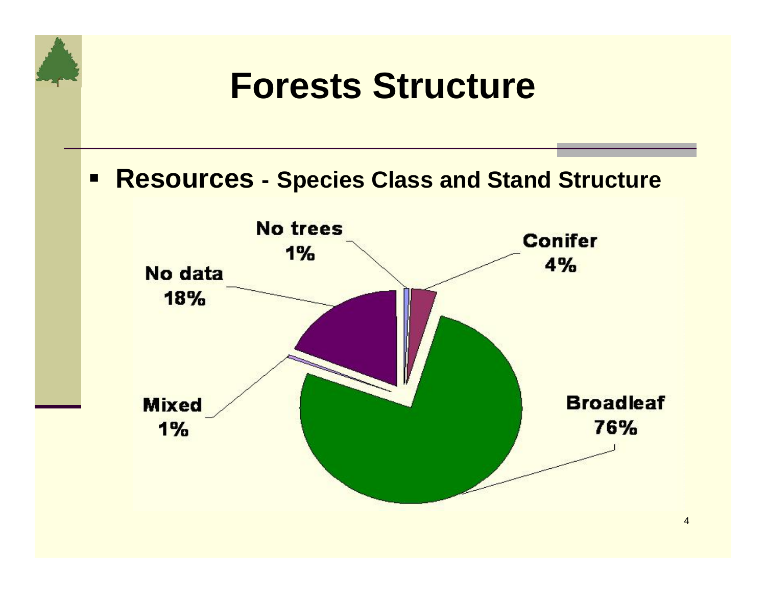# **Forests Structure**

### **Resources - Species Class and Stand Structure**

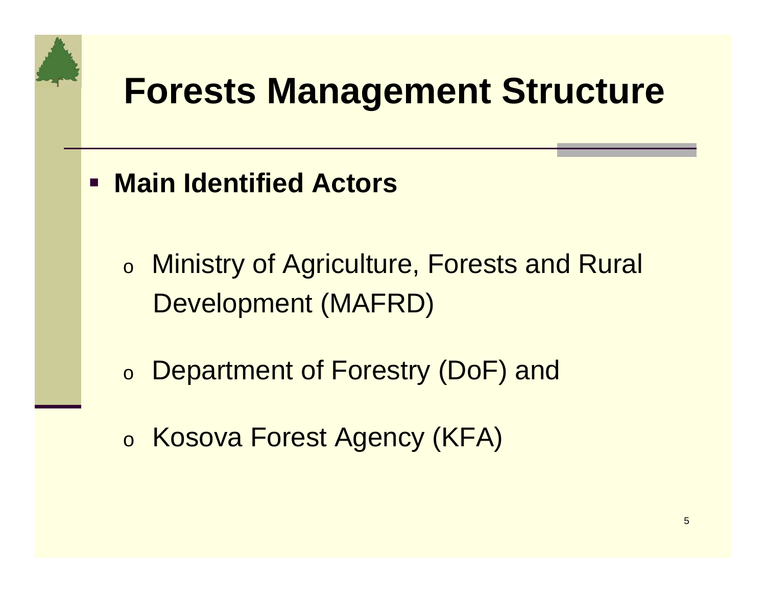# **Forests Management Structure**

- **Main Identified Actors** 
	- o Ministry of Agriculture, Forests and Rural Development (MAFRD)
	- oDepartment of Forestry (DoF) and
	- o Kosova Forest Agency (KFA)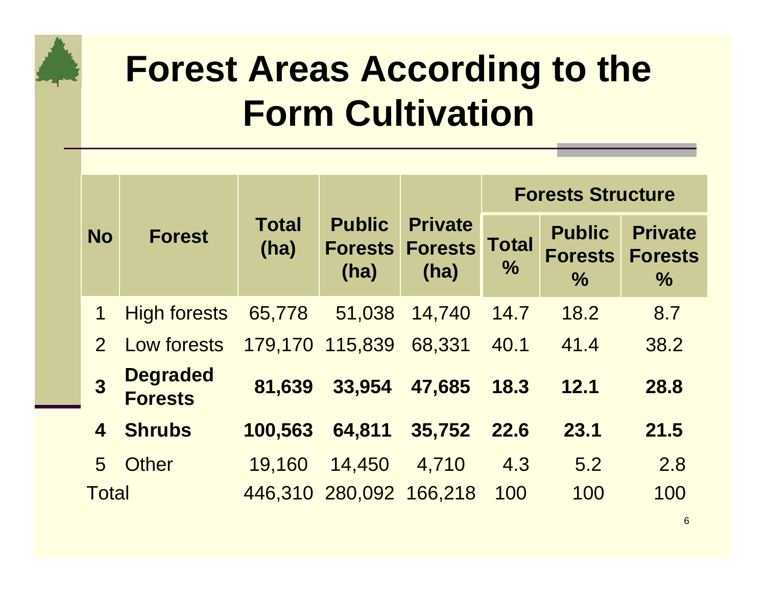# **Forest Areas According to the Form Cultivation**

|                         |                                   |                      |                                         |                                          | <b>Forests Structure</b>      |                                                  |                                                   |
|-------------------------|-----------------------------------|----------------------|-----------------------------------------|------------------------------------------|-------------------------------|--------------------------------------------------|---------------------------------------------------|
| <b>No</b>               | <b>Forest</b>                     | <b>Total</b><br>(ha) | <b>Public</b><br><b>Forests</b><br>(ha) | <b>Private</b><br><b>Forests</b><br>(ha) | <b>Total</b><br>$\frac{0}{0}$ | <b>Public</b><br><b>Forests</b><br>$\frac{0}{0}$ | <b>Private</b><br><b>Forests</b><br>$\frac{0}{0}$ |
| $\mathbf 1$             | <b>High forests</b>               | 65,778               | 51,038                                  | 14,740                                   | 14.7                          | 18.2                                             | 8.7                                               |
| $\overline{2}$          | Low forests                       |                      | 179,170 115,839                         | 68,331                                   | 40.1                          | 41.4                                             | 38.2                                              |
| 3                       | <b>Degraded</b><br><b>Forests</b> | 81,639               | 33,954                                  | 47,685                                   | 18.3                          | 12.1                                             | 28.8                                              |
| $\overline{\mathbf{4}}$ | <b>Shrubs</b>                     | 100,563              | 64,811                                  | 35,752                                   | <b>22.6</b>                   | 23.1                                             | 21.5                                              |
| 5                       | Other                             | 19,160               | 14,450                                  | 4,710                                    | 4.3                           | 5.2                                              | 2.8                                               |
| <b>Total</b>            |                                   |                      | 446,310 280,092 166,218                 |                                          | 100                           | 100                                              | 100                                               |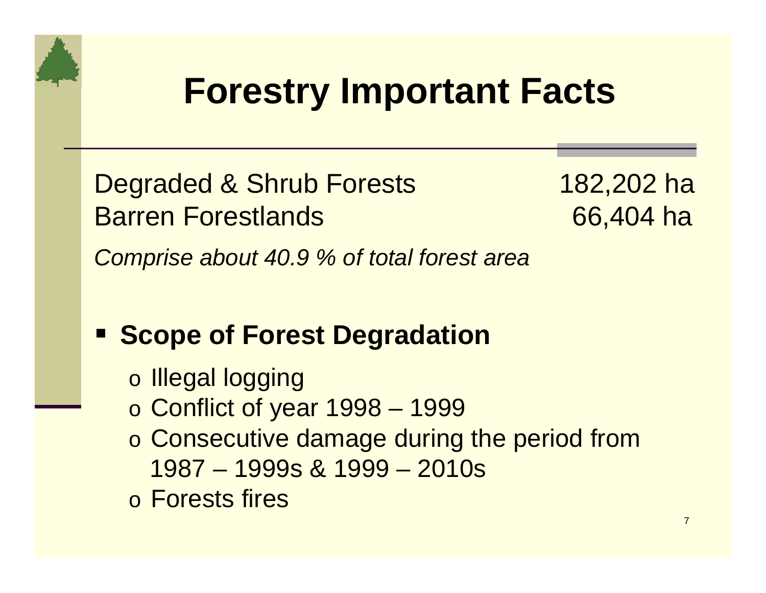# **Forestry Important Facts**

Degraded & Shrub Forests 182,202 ha Barren Forestlands 66,404 ha

*Comprise about 40.9 % of total forest area*

### **Example of Forest Degradation**

- o Illegal logging
- o Conflict of year 1998 1999
- o Consecutive damage during the period from 1987 – 1999s & 1999 – 2010s
- o Forests fires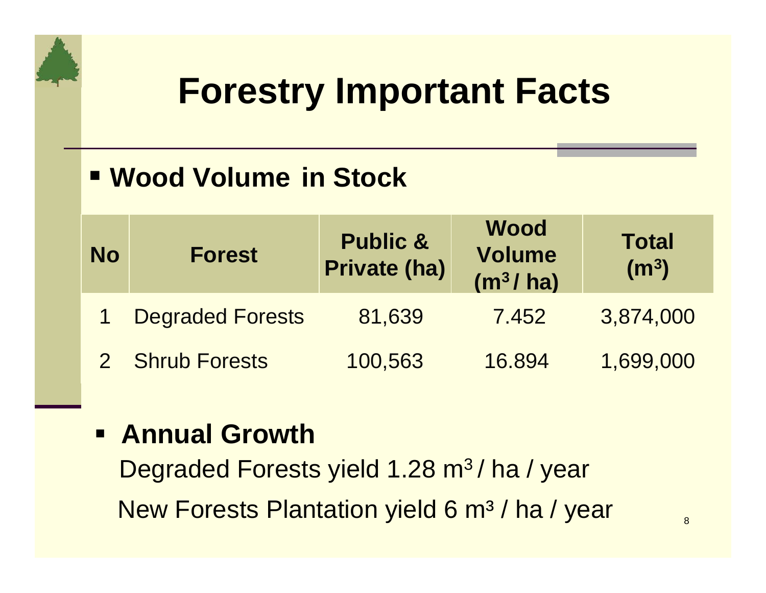# **Forestry Important Facts**

### **Wood Volume in Stock**

| <b>No</b> | <b>Forest</b>           | <b>Public &amp;</b><br><b>Private (ha)</b> | <b>Wood</b><br><b>Volume</b><br>(m <sup>3</sup> /ha) | <b>Total</b><br>(m <sup>3</sup> ) |
|-----------|-------------------------|--------------------------------------------|------------------------------------------------------|-----------------------------------|
|           | <b>Degraded Forests</b> | 81,639                                     | 7.452                                                | 3,874,000                         |
|           | 2 Shrub Forests         | 100,563                                    | 16.894                                               | 1,699,000                         |

### **Annual Growth**

Degraded Forests yield 1.28 m<sup>3</sup>/ ha / year New Forests Plantation yield 6 m<sup>3</sup> / ha / year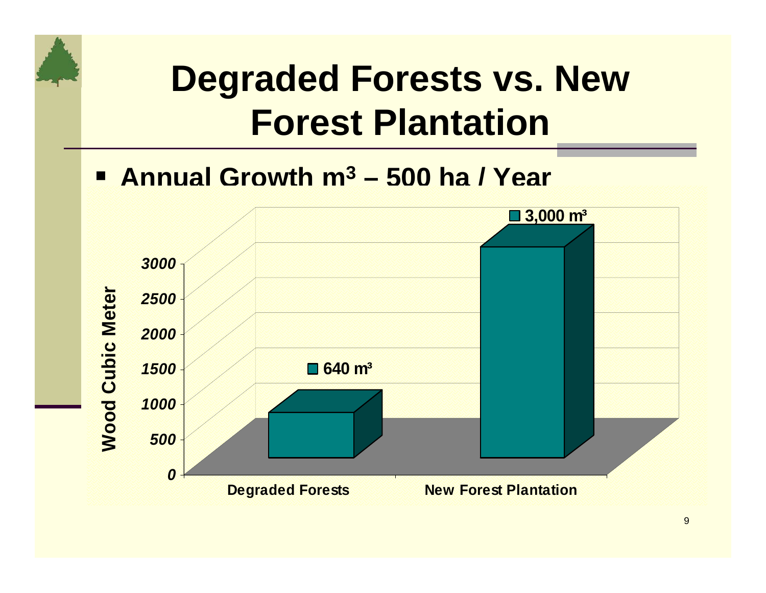# **Degraded Forests vs. New Forest Plantation**

### **Annual Growth m3 – 500 ha / Year**

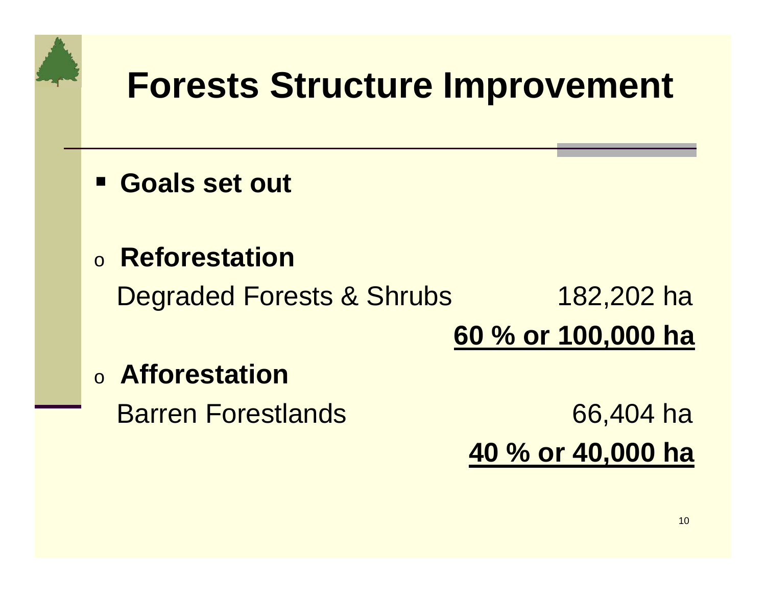# **Forests Structure Improvement**

- **Goals set out**
- o **Reforestation**

Degraded Forests & Shrubs 182,202 ha

**60 % or 100,000 ha**

o **Afforestation**

Barren Forestlands 66,404 ha **40 % or 40,000 ha**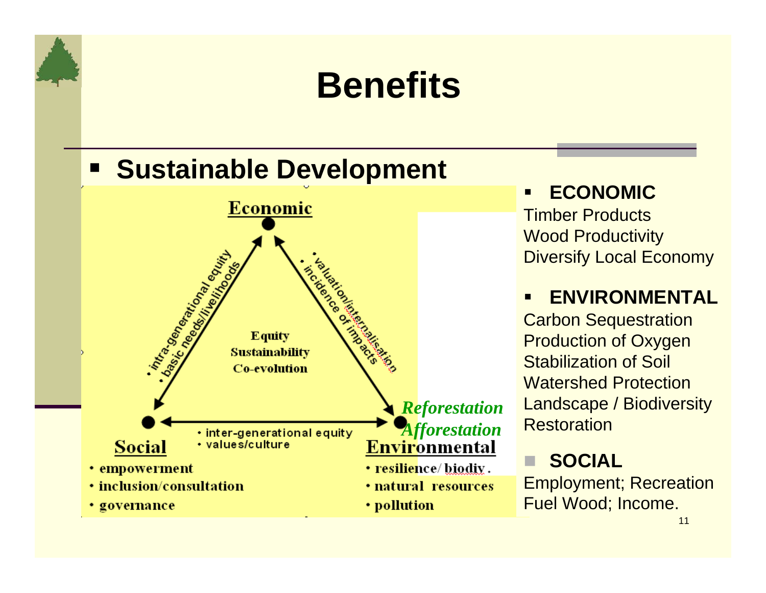# **Benefits**

### **Example Development**



 **ECONOMIC**Timber Products Wood Productivity Diversify Local Economy

#### Ξ **ENVIRONMENTAL**

Carbon Sequestration Production of Oxygen Stabilization of Soil Watershed Protection Landscape / Biodiversity **Restoration** 

### **SOCIAL**

Employment; Recreation Fuel Wood; Income.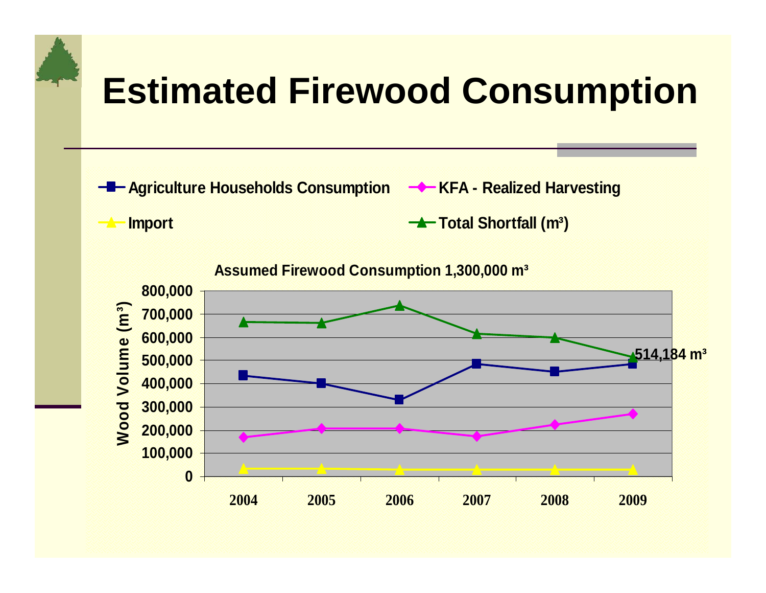# **Estimated Firewood Consumption**

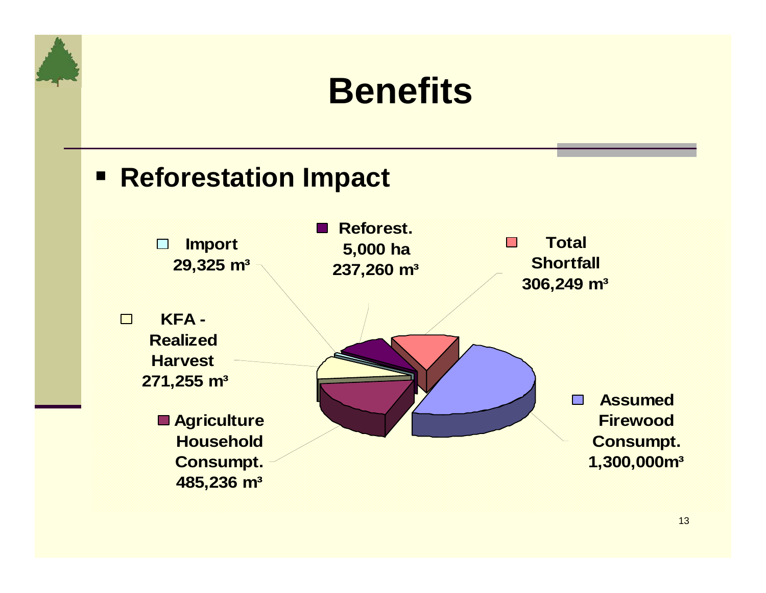## **Benefits**

### **Reforestation Impact**

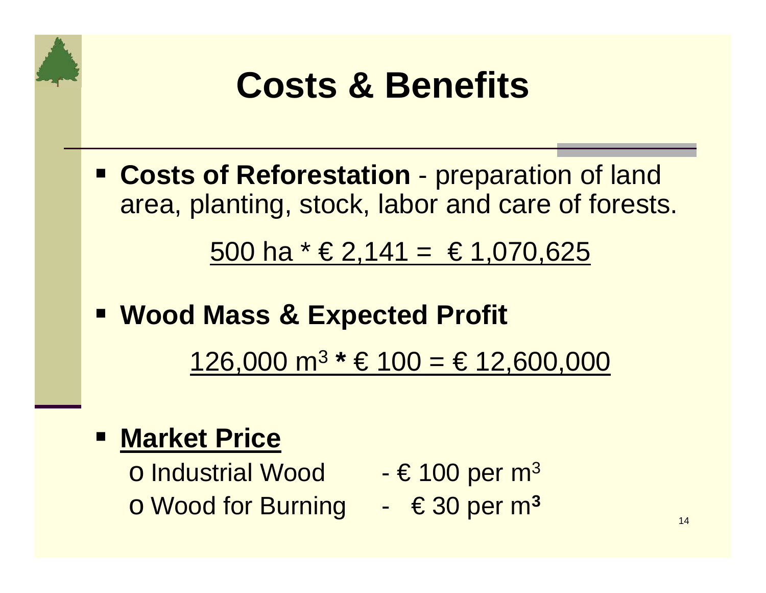

 **Costs of Reforestation** - preparation of land area, planting, stock, labor and care of forests.

500 ha  $*$  € 2,141 = € 1,070,625

 **Wood Mass & Expected Profi t** 126,000 m 3 **\*** € 100 = € 12,600,000

### **Market Price**

**o Industrial Wood Formo + € 100 per m o Wood for Burning → €30 per m** 

- 3
- **3**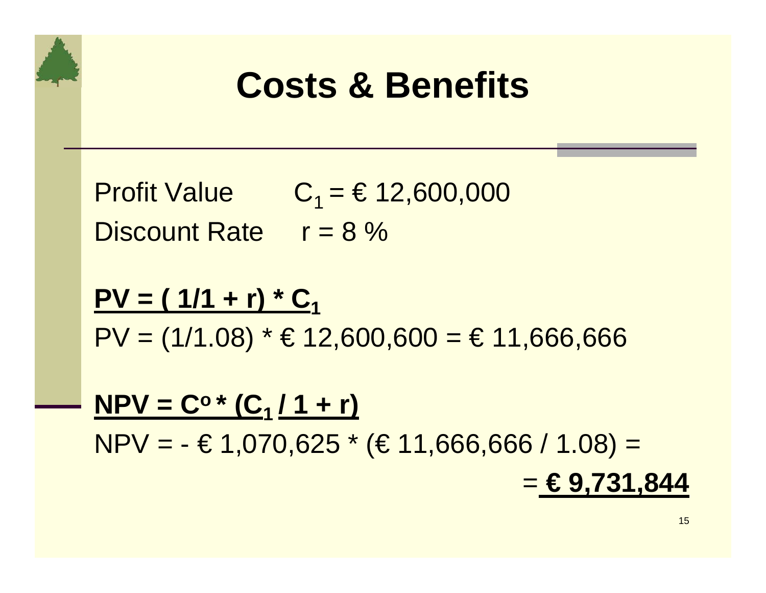# **Costs & Benefits**

- Profit Value  $C_1 = \text{\textsterling} 12,600,000$ Discount Rate  $r = 8 \%$
- **PV = ( 1/1 + r) \* C 1** $PV = (1/1.08) * £12,600,600 = £11,666,666$
- $NPV = C^o * (C_1 / 1 + r)$  $NPV = -\text{\textsterling}1,070,625$  \* ( $\text{\textsterling}11,666,666/1.08$ ) = = **€ 9,731,844**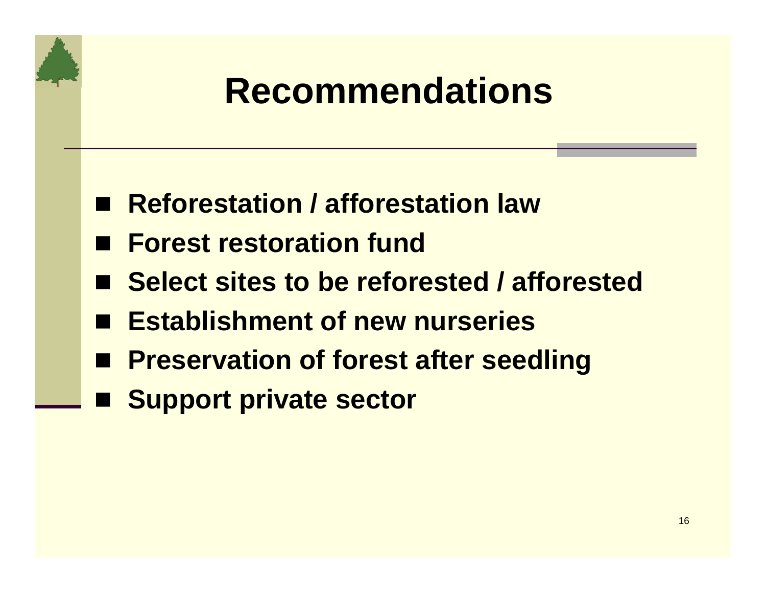- **Reforestation / afforestation law**
- Forest restoration fund
- Select sites to be reforested / afforested
- **Establishment of new nurseries**
- Preservation of forest after seedling
- Support private sector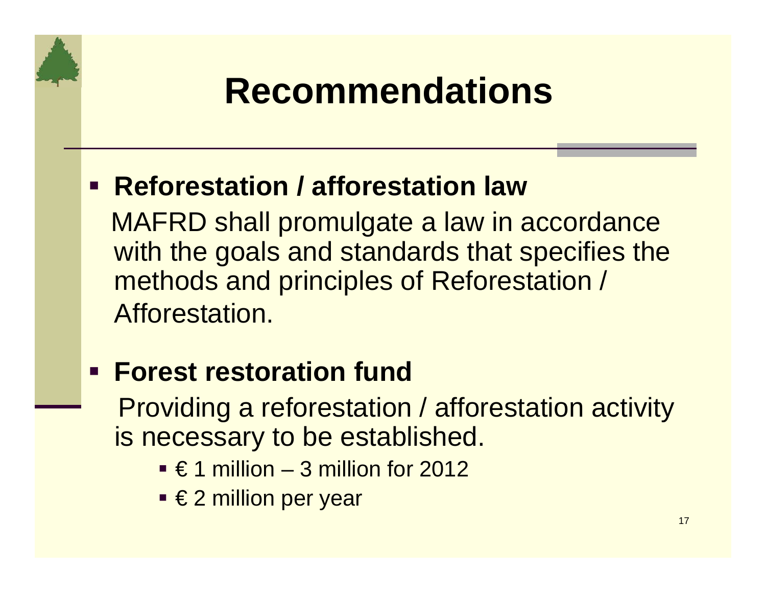### **F** Reforestation / afforestation law

MAFRD shall promulgate a law in accordance with the goals and standards that specifies the methods and principles of Reforestation / Afforestation.

- **Forest restoration fund**  Providing a reforestation / afforestation activity is necessary to be established.
	- $\blacksquare \in$  1 million 3 million for 2012
	- €2 million per year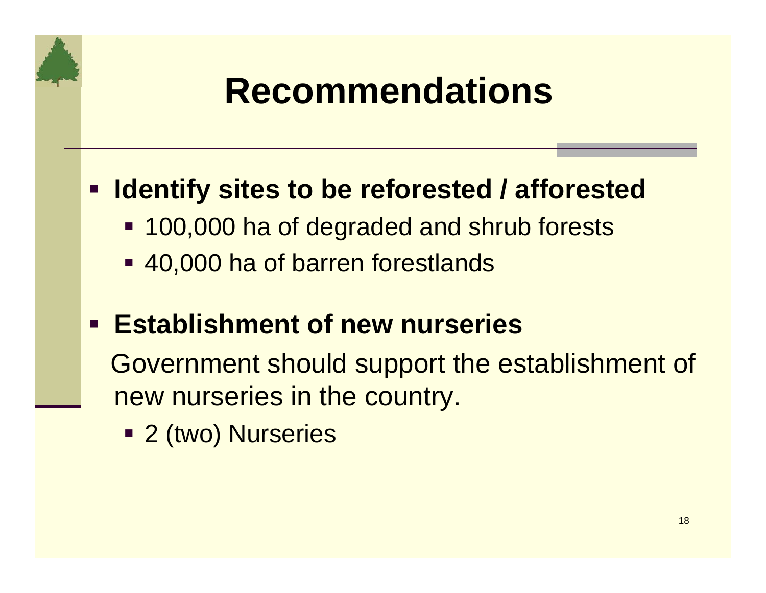### **Example 2 reformated Audie Figure 1 rata-off Control Figure 1 rata-off Control Figure 1 rata-off Control Figure 1 rata-off Control Figure 1 rata-off Control Figure 1 rata-off Control Figure 1 rata-off Control Figure 1 rat**

- **100,000 ha of degraded and shrub forests**
- 40,000 ha of barren forestlands

### **Establishment of new nurseries**

Government should support the establishment of new nurseries in the country.

2 (two) Nurseries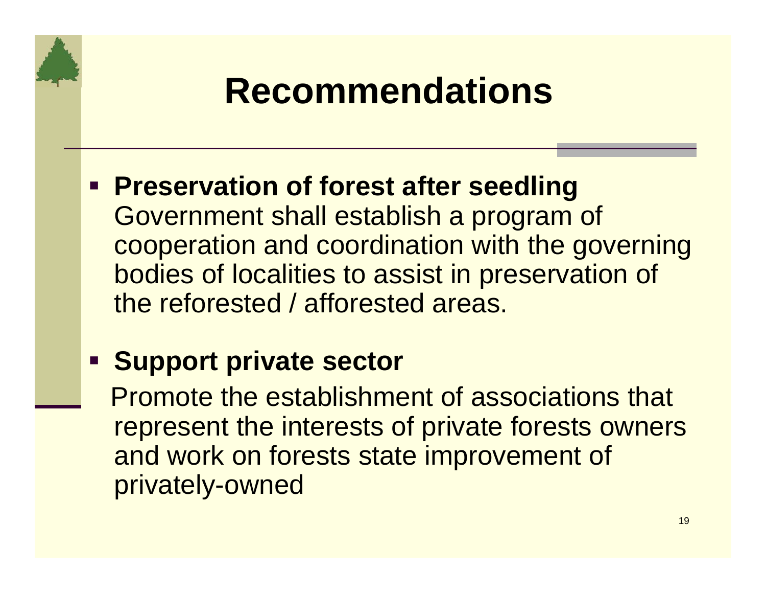- **Preservation of forest after seedling**  Government shall establish a program of cooperation and coordination with the governing bodies of localities to assist in preservation of the reforested / afforested areas.
- **Support private sector**

Promote the establishment of associations that represent the interests of private forests owners and work on forests state improvement of privately-owned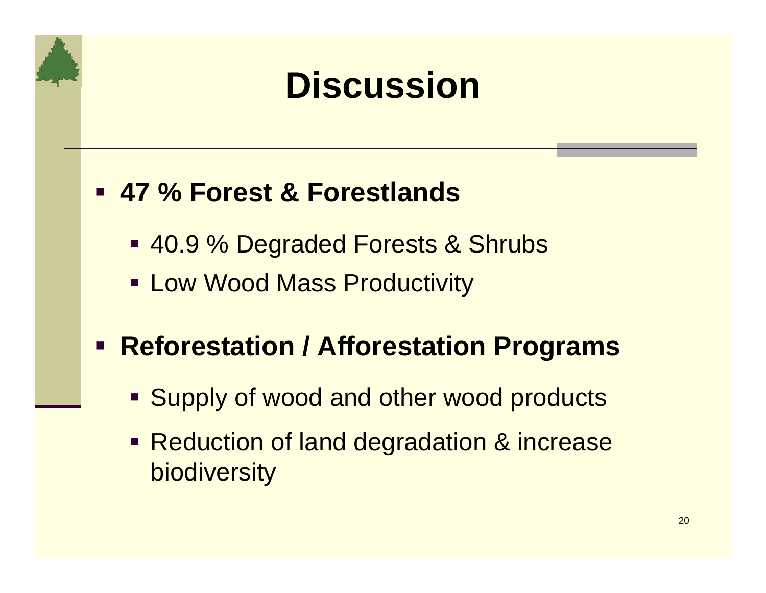# **Discussion**

### **47 % Forest & Forestlands**

- 40.9 % Degraded Forests & Shrubs
- **Example Mass Productivity**

### **Reforestation / Afforestation Programs**

- **Supply of wood and other wood products**
- **Reduction of land degradation & increase biodiversity**